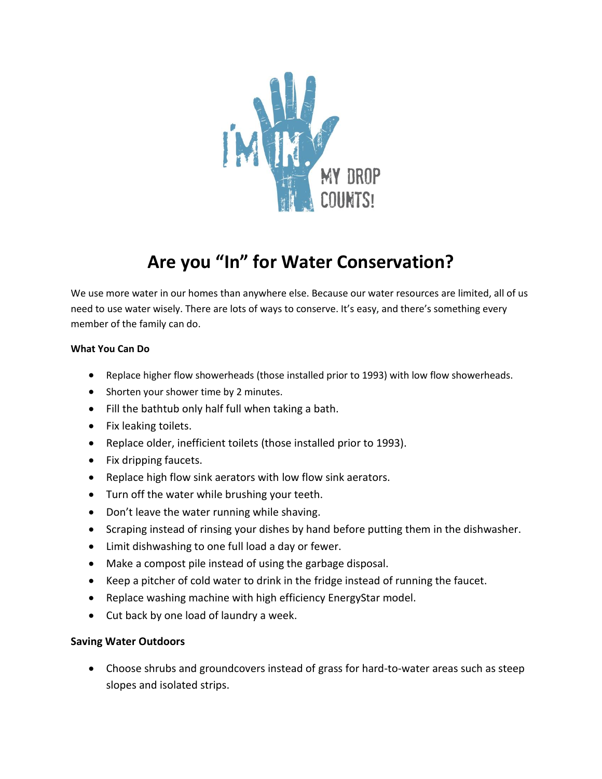

## **Are you "In" for Water Conservation?**

We use more water in our homes than anywhere else. Because our water resources are limited, all of us need to use water wisely. There are lots of ways to conserve. It's easy, and there's something every member of the family can do.

## **What You Can Do**

- Replace higher flow showerheads (those installed prior to 1993) with low flow showerheads.
- Shorten your shower time by 2 minutes.
- Fill the bathtub only half full when taking a bath.
- Fix leaking toilets.
- Replace older, inefficient toilets (those installed prior to 1993).
- Fix dripping faucets.
- Replace high flow sink aerators with low flow sink aerators.
- Turn off the water while brushing your teeth.
- Don't leave the water running while shaving.
- Scraping instead of rinsing your dishes by hand before putting them in the dishwasher.
- Limit dishwashing to one full load a day or fewer.
- Make a compost pile instead of using the garbage disposal.
- Keep a pitcher of cold water to drink in the fridge instead of running the faucet.
- Replace washing machine with high efficiency EnergyStar model.
- Cut back by one load of laundry a week.

## **Saving Water Outdoors**

 Choose shrubs and groundcovers instead of grass for hard-to-water areas such as steep slopes and isolated strips.